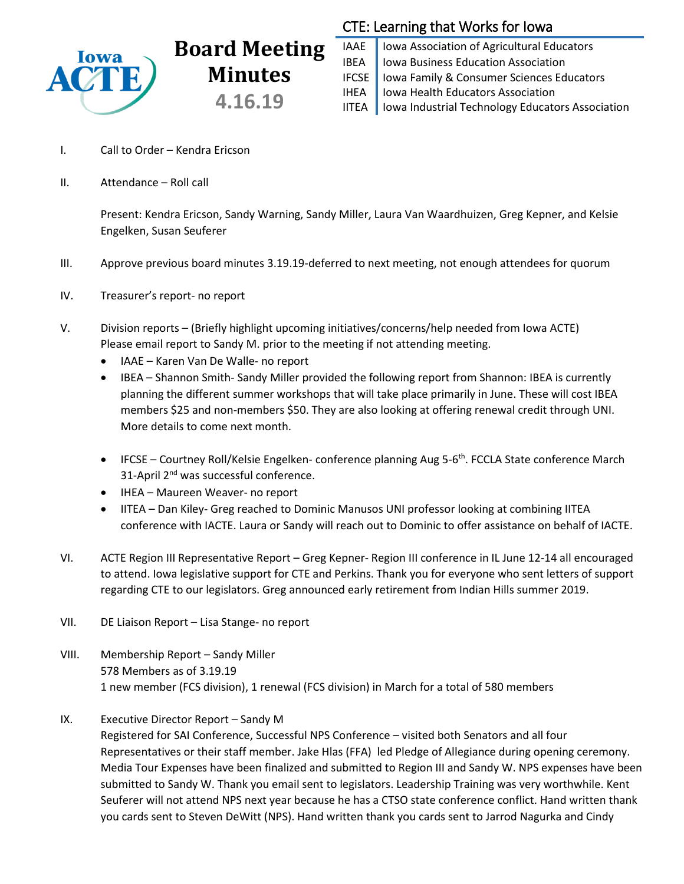

# CTE: Learning that Works for Iowa

IAAE | Iowa Association of Agricultural Educators IBEA | Iowa Business Education Association IFCSE Iowa Family & Consumer Sciences Educators IHEA | Iowa Health Educators Association IITEA | Iowa Industrial Technology Educators Association

- I. Call to Order Kendra Ericson
- II. Attendance Roll call

Present: Kendra Ericson, Sandy Warning, Sandy Miller, Laura Van Waardhuizen, Greg Kepner, and Kelsie Engelken, Susan Seuferer

- III. Approve previous board minutes 3.19.19-deferred to next meeting, not enough attendees for quorum
- IV. Treasurer's report- no report
- V. Division reports (Briefly highlight upcoming initiatives/concerns/help needed from Iowa ACTE) Please email report to Sandy M. prior to the meeting if not attending meeting.
	- IAAE Karen Van De Walle- no report

**Board Meeting**

**Minutes**

**4.16.19**

- IBEA Shannon Smith- Sandy Miller provided the following report from Shannon: IBEA is currently planning the different summer workshops that will take place primarily in June. These will cost IBEA members \$25 and non-members \$50. They are also looking at offering renewal credit through UNI. More details to come next month.
- IFCSE Courtney Roll/Kelsie Engelken- conference planning Aug 5-6<sup>th</sup>. FCCLA State conference March 31-April 2<sup>nd</sup> was successful conference.
- IHEA Maureen Weaver- no report
- IITEA Dan Kiley- Greg reached to Dominic Manusos UNI professor looking at combining IITEA conference with IACTE. Laura or Sandy will reach out to Dominic to offer assistance on behalf of IACTE.
- VI. ACTE Region III Representative Report Greg Kepner- Region III conference in IL June 12-14 all encouraged to attend. Iowa legislative support for CTE and Perkins. Thank you for everyone who sent letters of support regarding CTE to our legislators. Greg announced early retirement from Indian Hills summer 2019.
- VII. DE Liaison Report Lisa Stange- no report
- VIII. Membership Report Sandy Miller 578 Members as of 3.19.19 1 new member (FCS division), 1 renewal (FCS division) in March for a total of 580 members
- IX. Executive Director Report Sandy M

Registered for SAI Conference, Successful NPS Conference – visited both Senators and all four Representatives or their staff member. Jake Hlas (FFA) led Pledge of Allegiance during opening ceremony. Media Tour Expenses have been finalized and submitted to Region III and Sandy W. NPS expenses have been submitted to Sandy W. Thank you email sent to legislators. Leadership Training was very worthwhile. Kent Seuferer will not attend NPS next year because he has a CTSO state conference conflict. Hand written thank you cards sent to Steven DeWitt (NPS). Hand written thank you cards sent to Jarrod Nagurka and Cindy